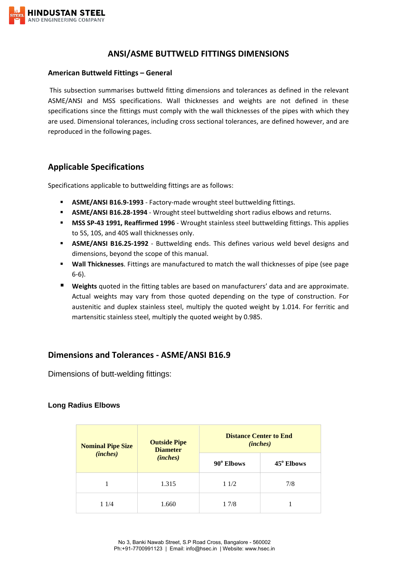

## **ANSI/ASME BUTTWELD FITTINGS DIMENSIONS**

#### **American Buttweld Fittings – General**

This subsection summarises buttweld fitting dimensions and tolerances as defined in the relevant ASME/ANSI and MSS specifications. Wall thicknesses and weights are not defined in these specifications since the fittings must comply with the wall thicknesses of the pipes with which they are used. Dimensional tolerances, including cross sectional tolerances, are defined however, and are reproduced in the following pages.

## **Applicable Specifications**

Specifications applicable to buttwelding fittings are as follows:

- **ASME/ANSI B16.9-1993** Factory-made wrought steel buttwelding fittings.
- **ASME/ANSI B16.28-1994** Wrought steel buttwelding short radius elbows and returns.
- **MSS SP-43 1991, Reaffirmed 1996** Wrought stainless steel buttwelding fittings. This applies to 5S, 10S, and 40S wall thicknesses only.
- **ASME/ANSI B16.25-1992** Buttwelding ends. This defines various weld bevel designs and dimensions, beyond the scope of this manual.
- **Wall Thicknesses**. Fittings are manufactured to match the wall thicknesses of pipe (see page 6-6).
- **Weights** quoted in the fitting tables are based on manufacturers' data and are approximate. Actual weights may vary from those quoted depending on the type of construction. For austenitic and duplex stainless steel, multiply the quoted weight by 1.014. For ferritic and martensitic stainless steel, multiply the quoted weight by 0.985.

# **Dimensions and Tolerances - ASME/ANSI B16.9**

Dimensions of butt-welding fittings:

### **Long Radius Elbows**

| <b>Nominal Pipe Size</b><br>(inches) | <b>Outside Pipe</b><br><b>Diameter</b><br>( <i>inches</i> ) | <b>Distance Center to End</b><br>( <i>inches</i> ) |            |
|--------------------------------------|-------------------------------------------------------------|----------------------------------------------------|------------|
|                                      |                                                             | 90° Elbows                                         | 45° Elbows |
|                                      | 1.315                                                       | 11/2                                               | 7/8        |
| 1 1/4                                | 1.660                                                       | 1 7/8                                              |            |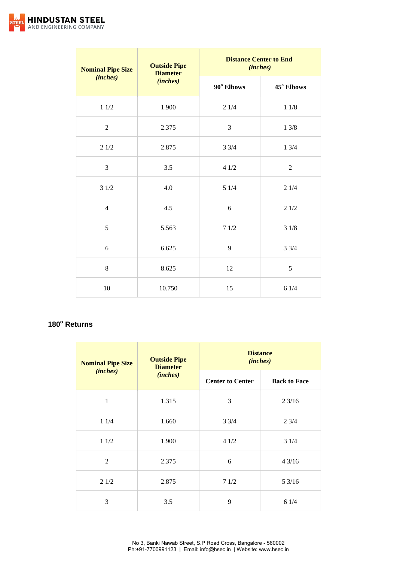

| <b>Nominal Pipe Size</b> | <b>Outside Pipe</b><br><b>Diameter</b><br>(inches) | <b>Distance Center to End</b><br>(inches) |                |
|--------------------------|----------------------------------------------------|-------------------------------------------|----------------|
| (inches)                 |                                                    | 90° Elbows                                | 45° Elbows     |
| $11/2$                   | 1.900                                              | 21/4                                      | $1\;1/8$       |
| $\overline{2}$           | 2.375                                              | 3                                         | 13/8           |
| 21/2                     | 2.875                                              | $3 \frac{3}{4}$                           | 13/4           |
| 3                        | 3.5                                                | 41/2                                      | $\overline{2}$ |
| 31/2                     | 4.0                                                | 51/4                                      | 21/4           |
| $\overline{4}$           | 4.5                                                | 6                                         | 21/2           |
| 5                        | 5.563                                              | 71/2                                      | 31/8           |
| 6                        | 6.625                                              | 9                                         | 33/4           |
| $\,8\,$                  | 8.625                                              | 12                                        | 5              |
| 10                       | 10.750                                             | 15                                        | 61/4           |

### **180<sup>o</sup> Returns**

| <b>Nominal Pipe Size</b><br>(inches) | <b>Outside Pipe</b><br><b>Diameter</b><br>(inches) | <b>Distance</b><br>(inches) |                     |
|--------------------------------------|----------------------------------------------------|-----------------------------|---------------------|
|                                      |                                                    | <b>Center to Center</b>     | <b>Back to Face</b> |
| 1                                    | 1.315                                              | 3                           | 23/16               |
| 11/4                                 | 1.660                                              | $3 \frac{3}{4}$             | 23/4                |
| 11/2                                 | 1.900                                              | 41/2                        | 31/4                |
| 2                                    | 2.375                                              | 6                           | 43/16               |
| 21/2                                 | 2.875                                              | 71/2                        | 53/16               |
| 3                                    | 3.5                                                | 9                           | 61/4                |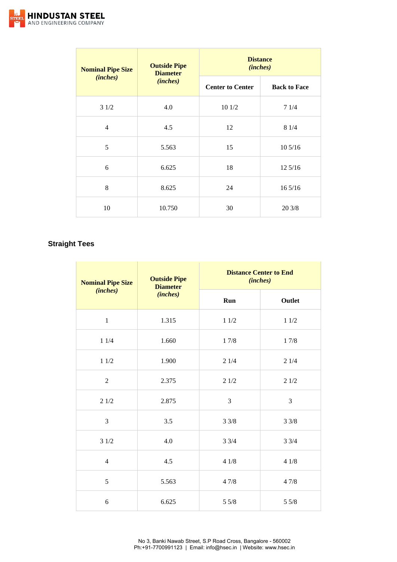

| <b>Nominal Pipe Size</b><br>(inches) | <b>Outside Pipe</b><br><b>Diameter</b><br>(inches) | <b>Distance</b><br>(inches) |                     |
|--------------------------------------|----------------------------------------------------|-----------------------------|---------------------|
|                                      |                                                    | <b>Center to Center</b>     | <b>Back to Face</b> |
| 31/2                                 | 4.0                                                | 101/2                       | 71/4                |
| $\overline{4}$                       | 4.5                                                | 12                          | 81/4                |
| 5                                    | 5.563                                              | 15                          | 10 5/16             |
| 6                                    | 6.625                                              | 18                          | 12 5/16             |
| 8                                    | 8.625                                              | 24                          | $16\frac{5}{16}$    |
| 10                                   | 10.750                                             | 30                          | 20 3/8              |

## **Straight Tees**

| <b>Nominal Pipe Size</b><br>(inches) | <b>Outside Pipe</b><br><b>Diameter</b> |      | <b>Distance Center to End</b><br>(inches) |  |
|--------------------------------------|----------------------------------------|------|-------------------------------------------|--|
|                                      | (inches)                               | Run  | Outlet                                    |  |
| $\mathbf{1}$                         | 1.315                                  | 11/2 | 11/2                                      |  |
| 11/4                                 | 1.660                                  | 17/8 | 17/8                                      |  |
| 11/2                                 | 1.900                                  | 21/4 | 21/4                                      |  |
| $\overline{2}$                       | 2.375                                  | 21/2 | 21/2                                      |  |
| 21/2                                 | 2.875                                  | 3    | 3                                         |  |
| 3                                    | 3.5                                    | 33/8 | 33/8                                      |  |
| 31/2                                 | 4.0                                    | 33/4 | 33/4                                      |  |
| $\overline{4}$                       | 4.5                                    | 41/8 | 41/8                                      |  |
| 5                                    | 5.563                                  | 47/8 | 47/8                                      |  |
| 6                                    | 6.625                                  | 55/8 | 55/8                                      |  |